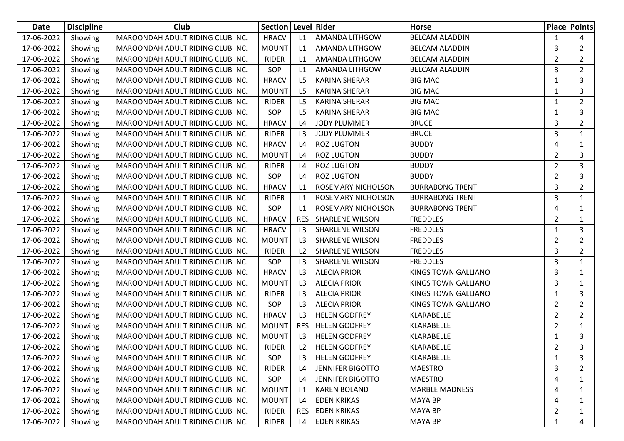| Date       | <b>Discipline</b> | Club                             | Section   Level   Rider |                |                           | Horse                  |                | <b>Place Points</b> |
|------------|-------------------|----------------------------------|-------------------------|----------------|---------------------------|------------------------|----------------|---------------------|
| 17-06-2022 | Showing           | MAROONDAH ADULT RIDING CLUB INC. | <b>HRACV</b>            | L1             | <b>AMANDA LITHGOW</b>     | <b>BELCAM ALADDIN</b>  | 1              | 4                   |
| 17-06-2022 | Showing           | MAROONDAH ADULT RIDING CLUB INC. | <b>MOUNT</b>            | L1             | <b>AMANDA LITHGOW</b>     | <b>BELCAM ALADDIN</b>  | 3              | $\overline{2}$      |
| 17-06-2022 | Showing           | MAROONDAH ADULT RIDING CLUB INC. | <b>RIDER</b>            | L1             | <b>AMANDA LITHGOW</b>     | <b>BELCAM ALADDIN</b>  | $\overline{2}$ | $\overline{2}$      |
| 17-06-2022 | Showing           | MAROONDAH ADULT RIDING CLUB INC. | SOP                     | L1             | <b>AMANDA LITHGOW</b>     | <b>BELCAM ALADDIN</b>  | 3              | $\overline{2}$      |
| 17-06-2022 | Showing           | MAROONDAH ADULT RIDING CLUB INC. | <b>HRACV</b>            | L <sub>5</sub> | <b>KARINA SHERAR</b>      | <b>BIG MAC</b>         | 1              | 3                   |
| 17-06-2022 | Showing           | MAROONDAH ADULT RIDING CLUB INC. | <b>MOUNT</b>            | L <sub>5</sub> | <b>KARINA SHERAR</b>      | <b>BIG MAC</b>         | 1              | 3                   |
| 17-06-2022 | Showing           | MAROONDAH ADULT RIDING CLUB INC. | <b>RIDER</b>            | L <sub>5</sub> | <b>KARINA SHERAR</b>      | <b>BIG MAC</b>         | 1              | $\overline{2}$      |
| 17-06-2022 | Showing           | MAROONDAH ADULT RIDING CLUB INC. | SOP                     | L <sub>5</sub> | <b>KARINA SHERAR</b>      | <b>BIG MAC</b>         | 1              | 3                   |
| 17-06-2022 | Showing           | MAROONDAH ADULT RIDING CLUB INC. | <b>HRACV</b>            | L4             | <b>JODY PLUMMER</b>       | <b>BRUCE</b>           | 3              | $\overline{2}$      |
| 17-06-2022 | Showing           | MAROONDAH ADULT RIDING CLUB INC. | <b>RIDER</b>            | L3             | <b>JODY PLUMMER</b>       | <b>BRUCE</b>           | 3              | 1                   |
| 17-06-2022 | Showing           | MAROONDAH ADULT RIDING CLUB INC. | <b>HRACV</b>            | L4             | <b>ROZ LUGTON</b>         | <b>BUDDY</b>           | 4              | $\mathbf{1}$        |
| 17-06-2022 | Showing           | MAROONDAH ADULT RIDING CLUB INC. | <b>MOUNT</b>            | L4             | <b>ROZ LUGTON</b>         | <b>BUDDY</b>           | $\overline{2}$ | 3                   |
| 17-06-2022 | Showing           | MAROONDAH ADULT RIDING CLUB INC. | <b>RIDER</b>            | L4             | <b>ROZ LUGTON</b>         | <b>BUDDY</b>           | $\overline{2}$ | 3                   |
| 17-06-2022 | Showing           | MAROONDAH ADULT RIDING CLUB INC. | SOP                     | L4             | <b>ROZ LUGTON</b>         | <b>BUDDY</b>           | $\overline{2}$ | $\overline{3}$      |
| 17-06-2022 | Showing           | MAROONDAH ADULT RIDING CLUB INC. | <b>HRACV</b>            | L1             | ROSEMARY NICHOLSON        | <b>BURRABONG TRENT</b> | 3              | $\overline{2}$      |
| 17-06-2022 | Showing           | MAROONDAH ADULT RIDING CLUB INC. | <b>RIDER</b>            | L1             | <b>ROSEMARY NICHOLSON</b> | <b>BURRABONG TRENT</b> | 3              | $\mathbf{1}$        |
| 17-06-2022 | Showing           | MAROONDAH ADULT RIDING CLUB INC. | SOP                     | L1             | ROSEMARY NICHOLSON        | <b>BURRABONG TRENT</b> | 4              | $\mathbf{1}$        |
| 17-06-2022 | Showing           | MAROONDAH ADULT RIDING CLUB INC. | <b>HRACV</b>            | <b>RES</b>     | <b>SHARLENE WILSON</b>    | <b>FREDDLES</b>        | $\overline{2}$ | $\mathbf{1}$        |
| 17-06-2022 | Showing           | MAROONDAH ADULT RIDING CLUB INC. | <b>HRACV</b>            | L <sub>3</sub> | <b>SHARLENE WILSON</b>    | <b>FREDDLES</b>        | 1              | 3                   |
| 17-06-2022 | Showing           | MAROONDAH ADULT RIDING CLUB INC. | <b>MOUNT</b>            | L3             | <b>SHARLENE WILSON</b>    | <b>FREDDLES</b>        | 2              | $\overline{2}$      |
| 17-06-2022 | Showing           | MAROONDAH ADULT RIDING CLUB INC. | <b>RIDER</b>            | L <sub>2</sub> | <b>SHARLENE WILSON</b>    | <b>FREDDLES</b>        | 3              | $\overline{2}$      |
| 17-06-2022 | Showing           | MAROONDAH ADULT RIDING CLUB INC. | SOP                     | L <sub>3</sub> | <b>SHARLENE WILSON</b>    | <b>FREDDLES</b>        | 3              | $\mathbf{1}$        |
| 17-06-2022 | Showing           | MAROONDAH ADULT RIDING CLUB INC. | <b>HRACV</b>            | L3             | <b>ALECIA PRIOR</b>       | KINGS TOWN GALLIANO    | 3              | $\mathbf{1}$        |
| 17-06-2022 | Showing           | MAROONDAH ADULT RIDING CLUB INC. | <b>MOUNT</b>            | L <sub>3</sub> | <b>ALECIA PRIOR</b>       | KINGS TOWN GALLIANO    | 3              | $\mathbf{1}$        |
| 17-06-2022 | Showing           | MAROONDAH ADULT RIDING CLUB INC. | <b>RIDER</b>            | L3             | <b>ALECIA PRIOR</b>       | KINGS TOWN GALLIANO    | 1              | 3                   |
| 17-06-2022 | Showing           | MAROONDAH ADULT RIDING CLUB INC. | SOP                     | L <sub>3</sub> | <b>ALECIA PRIOR</b>       | KINGS TOWN GALLIANO    | 2              | $\overline{2}$      |
| 17-06-2022 | Showing           | MAROONDAH ADULT RIDING CLUB INC. | <b>HRACV</b>            | L <sub>3</sub> | <b>HELEN GODFREY</b>      | KLARABELLE             | $\overline{2}$ | $\overline{2}$      |
| 17-06-2022 | Showing           | MAROONDAH ADULT RIDING CLUB INC. | <b>MOUNT</b>            | <b>RES</b>     | <b>HELEN GODFREY</b>      | KLARABELLE             | $\overline{2}$ | $\mathbf{1}$        |
| 17-06-2022 | Showing           | MAROONDAH ADULT RIDING CLUB INC. | <b>MOUNT</b>            | L <sub>3</sub> | <b>HELEN GODFREY</b>      | KLARABELLE             | 1              | 3                   |
| 17-06-2022 | Showing           | MAROONDAH ADULT RIDING CLUB INC. | <b>RIDER</b>            | L2             | <b>HELEN GODFREY</b>      | KLARABELLE             | $\overline{2}$ | 3                   |
| 17-06-2022 | Showing           | MAROONDAH ADULT RIDING CLUB INC. | SOP                     | L <sub>3</sub> | <b>HELEN GODFREY</b>      | KLARABELLE             | 1              | 3                   |
| 17-06-2022 | Showing           | MAROONDAH ADULT RIDING CLUB INC. | <b>RIDER</b>            | L4             | JENNIFER BIGOTTO          | <b>MAESTRO</b>         | 3              | $\mathbf{2}$        |
| 17-06-2022 | Showing           | MAROONDAH ADULT RIDING CLUB INC. | SOP                     | L4             | JENNIFER BIGOTTO          | <b>MAESTRO</b>         | 4              | 1                   |
| 17-06-2022 | Showing           | MAROONDAH ADULT RIDING CLUB INC. | <b>MOUNT</b>            | L1             | <b>KAREN BOLAND</b>       | <b>MARBLE MADNESS</b>  | 4              | 1                   |
| 17-06-2022 | Showing           | MAROONDAH ADULT RIDING CLUB INC. | <b>MOUNT</b>            | L4             | <b>EDEN KRIKAS</b>        | <b>MAYA BP</b>         | 4              | 1                   |
| 17-06-2022 | Showing           | MAROONDAH ADULT RIDING CLUB INC. | <b>RIDER</b>            | <b>RES</b>     | <b>EDEN KRIKAS</b>        | <b>MAYA BP</b>         | $\overline{c}$ | 1                   |
| 17-06-2022 | Showing           | MAROONDAH ADULT RIDING CLUB INC. | <b>RIDER</b>            | L4             | <b>EDEN KRIKAS</b>        | <b>MAYA BP</b>         | 1              | 4                   |